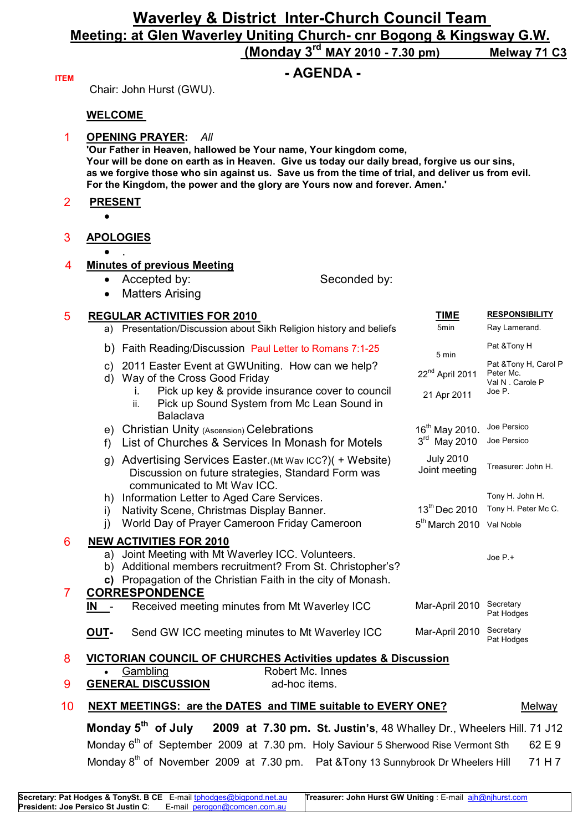## **Waverley & District Inter-Church Council Team Meeting: at Glen Waverley Uniting Church- cnr Bogong & Kingsway G.W. (Monday 3rd MAY 2010 - 7.30 pm) Melway 71 C3**

## **ITEM - AGENDA -**

Chair: John Hurst (GWU).

#### **WELCOME**

### 1 **OPENING PRAYER:** *All*  **'Our Father in Heaven, hallowed be Your name, Your kingdom come, Your will be done on earth as in Heaven. Give us today our daily bread, forgive us our sins, as we forgive those who sin against us. Save us from the time of trial, and deliver us from evil. For the Kingdom, the power and the glory are Yours now and forever. Amen.'**

#### 2 **PRESENT**

•

### 3 **APOLOGIES**

• .

## 4 **Minutes of previous Meeting**

- Accepted by: Seconded by:
- Matters Arising

### 5 **REGULAR ACTIVITIES FOR 2010 TIME RESPONSIBILITY**

| ັ |              | KLOULAK AVIIVIIILU I UK 2010                                                                                                                | <u>.</u>                             |                                                        |
|---|--------------|---------------------------------------------------------------------------------------------------------------------------------------------|--------------------------------------|--------------------------------------------------------|
|   | a)           | Presentation/Discussion about Sikh Religion history and beliefs                                                                             | 5 <sub>min</sub>                     | Ray Lamerand.                                          |
|   | b)           | Faith Reading/Discussion Paul Letter to Romans 7:1-25                                                                                       | 5 min                                | Pat & Tony H                                           |
|   | C)           | 2011 Easter Event at GWUniting. How can we help?<br>d) Way of the Cross Good Friday                                                         | 22 <sup>nd</sup> April 2011          | Pat & Tony H, Carol P<br>Peter Mc.<br>Val N . Carole P |
|   |              | Pick up key & provide insurance cover to council<br>L.<br>Pick up Sound System from Mc Lean Sound in<br>ii.<br>Balaclava                    | 21 Apr 2011                          | Joe P.                                                 |
|   |              | e) Christian Unity (Ascension) Celebrations                                                                                                 | 16 <sup>th</sup> May 2010.           | Joe Persico                                            |
|   | f)           | List of Churches & Services In Monash for Motels                                                                                            | $3rd$ May 2010                       | Joe Persico                                            |
|   | g)           | Advertising Services Easter. (Mt Wav ICC?) (+ Website)<br>Discussion on future strategies, Standard Form was<br>communicated to Mt Way ICC. | <b>July 2010</b><br>Joint meeting    | Treasurer: John H.                                     |
|   |              | h) Information Letter to Aged Care Services.                                                                                                |                                      | Tony H. John H.                                        |
|   | i)           | Nativity Scene, Christmas Display Banner.                                                                                                   | 13 <sup>th</sup> Dec 2010            | Tony H. Peter Mc C.                                    |
|   | $\mathbf{j}$ | World Day of Prayer Cameroon Friday Cameroon                                                                                                | 5 <sup>th</sup> March 2010 Val Noble |                                                        |
| 6 |              | <b>NEW ACTIVITIES FOR 2010</b>                                                                                                              |                                      |                                                        |
|   | a)           | Joint Meeting with Mt Waverley ICC. Volunteers.                                                                                             |                                      | Joe $P.+$                                              |
|   | b)           | Additional members recruitment? From St. Christopher's?                                                                                     |                                      |                                                        |
| 7 | C)           | Propagation of the Christian Faith in the city of Monash.                                                                                   |                                      |                                                        |
|   |              | <b>CORRESPONDENCE</b>                                                                                                                       |                                      | Secretary                                              |
|   | IN           | Received meeting minutes from Mt Waverley ICC                                                                                               | Mar-April 2010                       | Pat Hodges                                             |
|   | <b>OUT-</b>  | Send GW ICC meeting minutes to Mt Waverley ICC                                                                                              | Mar-April 2010                       | Secretary<br>Pat Hodges                                |
| 8 |              | <b>VICTORIAN COUNCIL OF CHURCHES Activities updates &amp; Discussion</b>                                                                    |                                      |                                                        |
|   |              | Gambling<br>Robert Mc. Innes                                                                                                                |                                      |                                                        |
| 9 |              | <b>GENERAL DISCUSSION</b><br>ad-hoc items.                                                                                                  |                                      |                                                        |

### 10 **NEXT MEETINGS: are the DATES and TIME suitable to EVERY ONE?** Melway

 **Monday 5th of July 2009 at 7.30 pm. St. Justin's**, 48 Whalley Dr., Wheelers Hill. 71 J12 Monday 6<sup>th</sup> of September 2009 at 7.30 pm. Holy Saviour 5 Sherwood Rise Vermont Sth 62 E 9 Monday 8<sup>th</sup> of November 2009 at 7.30 pm. Pat &Tony 13 Sunnybrook Dr Wheelers Hill 71 H 7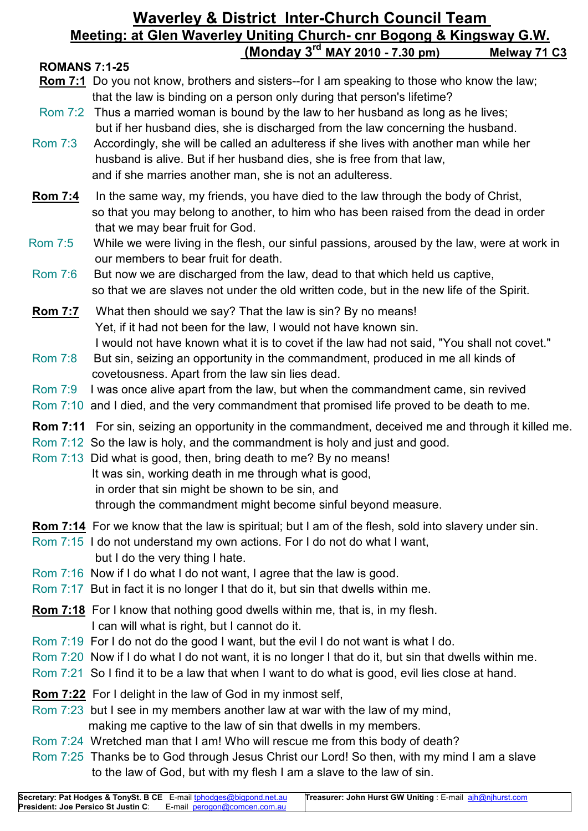# **Waverley & District Inter-Church Council Team Meeting: at Glen Waverley Uniting Church- cnr Bogong & Kingsway G.W. (Monday 3rd MAY 2010 - 7.30 pm) Melway 71 C3**

## **ROMANS 7:1-25**

- **Rom 7:1** Do you not know, brothers and sisters--for I am speaking to those who know the law; that the law is binding on a person only during that person's lifetime?
- Rom 7:2 Thus a married woman is bound by the law to her husband as long as he lives; but if her husband dies, she is discharged from the law concerning the husband.
- Rom 7:3 Accordingly, she will be called an adulteress if she lives with another man while her husband is alive. But if her husband dies, she is free from that law, and if she marries another man, she is not an adulteress.
- **Rom 7:4** In the same way, my friends, you have died to the law through the body of Christ, so that you may belong to another, to him who has been raised from the dead in order that we may bear fruit for God.
- Rom 7:5 While we were living in the flesh, our sinful passions, aroused by the law, were at work in our members to bear fruit for death.
- Rom 7:6 But now we are discharged from the law, dead to that which held us captive, so that we are slaves not under the old written code, but in the new life of the Spirit.

**Rom 7:7** What then should we say? That the law is sin? By no means! Yet, if it had not been for the law, I would not have known sin. I would not have known what it is to covet if the law had not said, "You shall not covet."

- Rom 7:8 But sin, seizing an opportunity in the commandment, produced in me all kinds of covetousness. Apart from the law sin lies dead.
- Rom 7:9 I was once alive apart from the law, but when the commandment came, sin revived
- Rom 7:10 and I died, and the very commandment that promised life proved to be death to me.
- **Rom 7:11** For sin, seizing an opportunity in the commandment, deceived me and through it killed me.
- Rom 7:12 So the law is holy, and the commandment is holy and just and good.
- Rom 7:13 Did what is good, then, bring death to me? By no means! It was sin, working death in me through what is good, in order that sin might be shown to be sin, and through the commandment might become sinful beyond measure.
- **Rom 7:14** For we know that the law is spiritual; but I am of the flesh, sold into slavery under sin.
- Rom 7:15 I do not understand my own actions. For I do not do what I want, but I do the very thing I hate.
- Rom 7:16 Now if I do what I do not want, I agree that the law is good.
- Rom 7:17 But in fact it is no longer I that do it, but sin that dwells within me.
- **Rom 7:18** For I know that nothing good dwells within me, that is, in my flesh. I can will what is right, but I cannot do it.
- Rom 7:19 For I do not do the good I want, but the evil I do not want is what I do.
- Rom 7:20 Now if I do what I do not want, it is no longer I that do it, but sin that dwells within me.
- Rom 7:21 So I find it to be a law that when I want to do what is good, evil lies close at hand.
- **Rom 7:22** For I delight in the law of God in my inmost self,
- Rom 7:23 but I see in my members another law at war with the law of my mind, making me captive to the law of sin that dwells in my members.
- Rom 7:24 Wretched man that I am! Who will rescue me from this body of death?
- Rom 7:25 Thanks be to God through Jesus Christ our Lord! So then, with my mind I am a slave to the law of God, but with my flesh I am a slave to the law of sin.